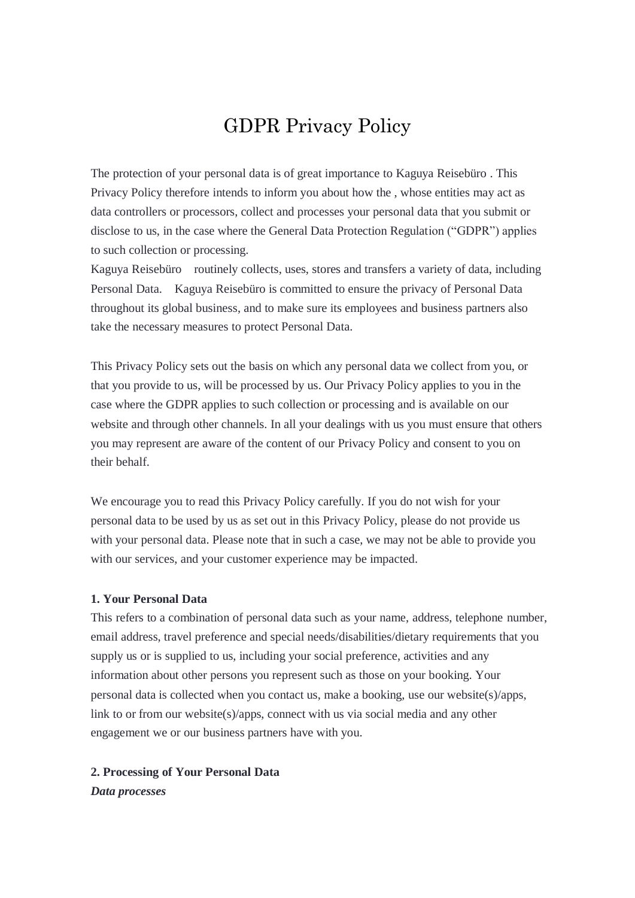# GDPR Privacy Policy

The protection of your personal data is of great importance to Kaguya Reisebüro . This Privacy Policy therefore intends to inform you about how the , whose entities may act as data controllers or processors, collect and processes your personal data that you submit or disclose to us, in the case where the General Data Protection Regulation ("GDPR") applies to such collection or processing.

Kaguya Reisebüro routinely collects, uses, stores and transfers a variety of data, including Personal Data. Kaguya Reisebüro is committed to ensure the privacy of Personal Data throughout its global business, and to make sure its employees and business partners also take the necessary measures to protect Personal Data.

This Privacy Policy sets out the basis on which any personal data we collect from you, or that you provide to us, will be processed by us. Our Privacy Policy applies to you in the case where the GDPR applies to such collection or processing and is available on our website and through other channels. In all your dealings with us you must ensure that others you may represent are aware of the content of our Privacy Policy and consent to you on their behalf.

We encourage you to read this Privacy Policy carefully. If you do not wish for your personal data to be used by us as set out in this Privacy Policy, please do not provide us with your personal data. Please note that in such a case, we may not be able to provide you with our services, and your customer experience may be impacted.

#### **1. Your Personal Data**

This refers to a combination of personal data such as your name, address, telephone number, email address, travel preference and special needs/disabilities/dietary requirements that you supply us or is supplied to us, including your social preference, activities and any information about other persons you represent such as those on your booking. Your personal data is collected when you contact us, make a booking, use our website(s)/apps, link to or from our website(s)/apps, connect with us via social media and any other engagement we or our business partners have with you.

#### **2. Processing of Your Personal Data**

*Data processes*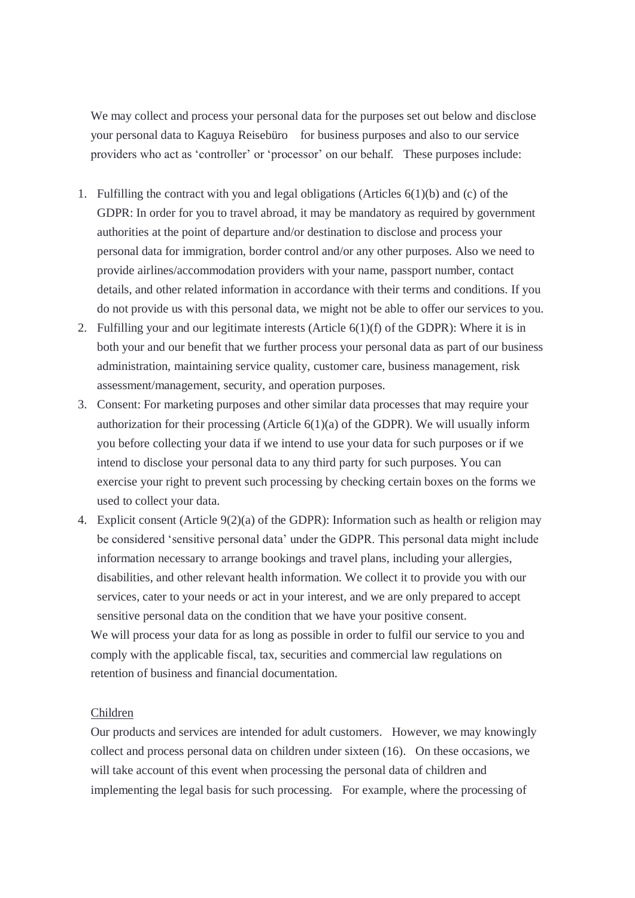We may collect and process your personal data for the purposes set out below and disclose your personal data to Kaguya Reisebüro for business purposes and also to our service providers who act as 'controller' or 'processor' on our behalf. These purposes include:

- 1. Fulfilling the contract with you and legal obligations (Articles 6(1)(b) and (c) of the GDPR: In order for you to travel abroad, it may be mandatory as required by government authorities at the point of departure and/or destination to disclose and process your personal data for immigration, border control and/or any other purposes. Also we need to provide airlines/accommodation providers with your name, passport number, contact details, and other related information in accordance with their terms and conditions. If you do not provide us with this personal data, we might not be able to offer our services to you.
- 2. Fulfilling your and our legitimate interests (Article 6(1)(f) of the GDPR): Where it is in both your and our benefit that we further process your personal data as part of our business administration, maintaining service quality, customer care, business management, risk assessment/management, security, and operation purposes.
- 3. Consent: For marketing purposes and other similar data processes that may require your authorization for their processing (Article  $6(1)(a)$  of the GDPR). We will usually inform you before collecting your data if we intend to use your data for such purposes or if we intend to disclose your personal data to any third party for such purposes. You can exercise your right to prevent such processing by checking certain boxes on the forms we used to collect your data.
- 4. Explicit consent (Article 9(2)(a) of the GDPR): Information such as health or religion may be considered 'sensitive personal data' under the GDPR. This personal data might include information necessary to arrange bookings and travel plans, including your allergies, disabilities, and other relevant health information. We collect it to provide you with our services, cater to your needs or act in your interest, and we are only prepared to accept sensitive personal data on the condition that we have your positive consent.

We will process your data for as long as possible in order to fulfil our service to you and comply with the applicable fiscal, tax, securities and commercial law regulations on retention of business and financial documentation.

#### Children

Our products and services are intended for adult customers. However, we may knowingly collect and process personal data on children under sixteen (16). On these occasions, we will take account of this event when processing the personal data of children and implementing the legal basis for such processing. For example, where the processing of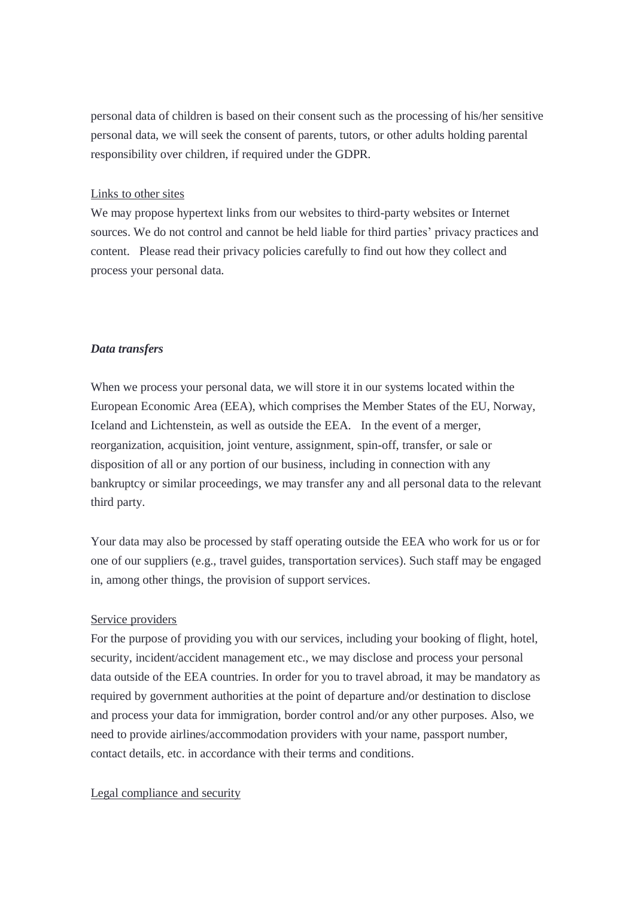personal data of children is based on their consent such as the processing of his/her sensitive personal data, we will seek the consent of parents, tutors, or other adults holding parental responsibility over children, if required under the GDPR.

#### Links to other sites

We may propose hypertext links from our websites to third-party websites or Internet sources. We do not control and cannot be held liable for third parties' privacy practices and content. Please read their privacy policies carefully to find out how they collect and process your personal data.

## *Data transfers*

When we process your personal data, we will store it in our systems located within the European Economic Area (EEA), which comprises the Member States of the EU, Norway, Iceland and Lichtenstein, as well as outside the EEA. In the event of a merger, reorganization, acquisition, joint venture, assignment, spin-off, transfer, or sale or disposition of all or any portion of our business, including in connection with any bankruptcy or similar proceedings, we may transfer any and all personal data to the relevant third party.

Your data may also be processed by staff operating outside the EEA who work for us or for one of our suppliers (e.g., travel guides, transportation services). Such staff may be engaged in, among other things, the provision of support services.

#### Service providers

For the purpose of providing you with our services, including your booking of flight, hotel, security, incident/accident management etc., we may disclose and process your personal data outside of the EEA countries. In order for you to travel abroad, it may be mandatory as required by government authorities at the point of departure and/or destination to disclose and process your data for immigration, border control and/or any other purposes. Also, we need to provide airlines/accommodation providers with your name, passport number, contact details, etc. in accordance with their terms and conditions.

## Legal compliance and security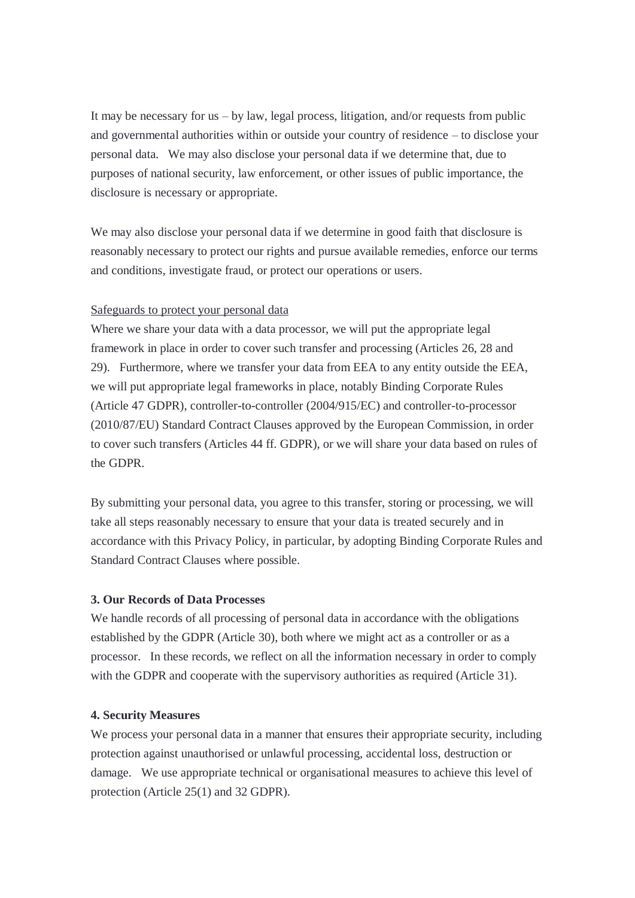It may be necessary for us  $-$  by law, legal process, litigation, and/or requests from public and governmental authorities within or outside your country of residence – to disclose your personal data. We may also disclose your personal data if we determine that, due to purposes of national security, law enforcement, or other issues of public importance, the disclosure is necessary or appropriate.

We may also disclose your personal data if we determine in good faith that disclosure is reasonably necessary to protect our rights and pursue available remedies, enforce our terms and conditions, investigate fraud, or protect our operations or users.

## Safeguards to protect your personal data

Where we share your data with a data processor, we will put the appropriate legal framework in place in order to cover such transfer and processing (Articles 26, 28 and 29). Furthermore, where we transfer your data from EEA to any entity outside the EEA, we will put appropriate legal frameworks in place, notably Binding Corporate Rules (Article 47 GDPR), controller-to-controller (2004/915/EC) and controller-to-processor (2010/87/EU) Standard Contract Clauses approved by the European Commission, in order to cover such transfers (Articles 44 ff. GDPR), or we will share your data based on rules of the GDPR.

By submitting your personal data, you agree to this transfer, storing or processing, we will take all steps reasonably necessary to ensure that your data is treated securely and in accordance with this Privacy Policy, in particular, by adopting Binding Corporate Rules and Standard Contract Clauses where possible.

#### **3. Our Records of Data Processes**

We handle records of all processing of personal data in accordance with the obligations established by the GDPR (Article 30), both where we might act as a controller or as a processor. In these records, we reflect on all the information necessary in order to comply with the GDPR and cooperate with the supervisory authorities as required (Article 31).

## **4. Security Measures**

We process your personal data in a manner that ensures their appropriate security, including protection against unauthorised or unlawful processing, accidental loss, destruction or damage. We use appropriate technical or organisational measures to achieve this level of protection (Article 25(1) and 32 GDPR).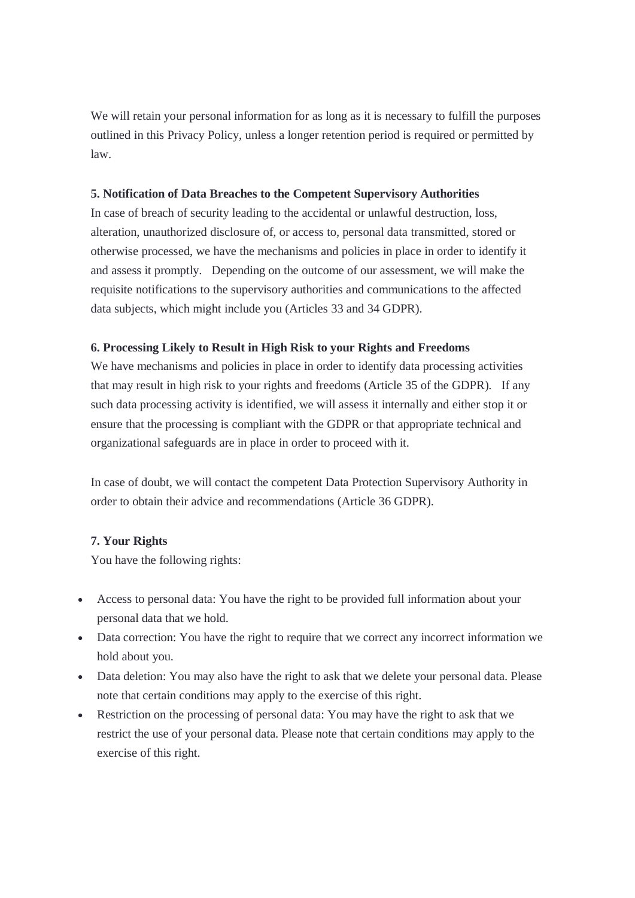We will retain your personal information for as long as it is necessary to fulfill the purposes outlined in this Privacy Policy, unless a longer retention period is required or permitted by law.

## **5. Notification of Data Breaches to the Competent Supervisory Authorities**

In case of breach of security leading to the accidental or unlawful destruction, loss, alteration, unauthorized disclosure of, or access to, personal data transmitted, stored or otherwise processed, we have the mechanisms and policies in place in order to identify it and assess it promptly. Depending on the outcome of our assessment, we will make the requisite notifications to the supervisory authorities and communications to the affected data subjects, which might include you (Articles 33 and 34 GDPR).

## **6. Processing Likely to Result in High Risk to your Rights and Freedoms**

We have mechanisms and policies in place in order to identify data processing activities that may result in high risk to your rights and freedoms (Article 35 of the GDPR). If any such data processing activity is identified, we will assess it internally and either stop it or ensure that the processing is compliant with the GDPR or that appropriate technical and organizational safeguards are in place in order to proceed with it.

In case of doubt, we will contact the competent Data Protection Supervisory Authority in order to obtain their advice and recommendations (Article 36 GDPR).

## **7. Your Rights**

You have the following rights:

- Access to personal data: You have the right to be provided full information about your personal data that we hold.
- Data correction: You have the right to require that we correct any incorrect information we hold about you.
- Data deletion: You may also have the right to ask that we delete your personal data. Please note that certain conditions may apply to the exercise of this right.
- Restriction on the processing of personal data: You may have the right to ask that we restrict the use of your personal data. Please note that certain conditions may apply to the exercise of this right.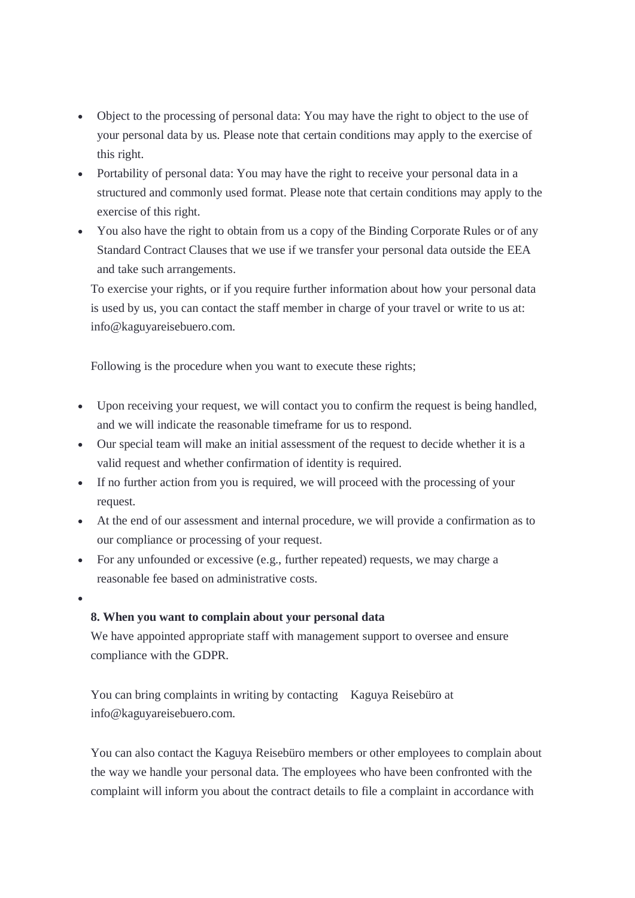- Object to the processing of personal data: You may have the right to object to the use of your personal data by us. Please note that certain conditions may apply to the exercise of this right.
- Portability of personal data: You may have the right to receive your personal data in a structured and commonly used format. Please note that certain conditions may apply to the exercise of this right.
- You also have the right to obtain from us a copy of the Binding Corporate Rules or of any Standard Contract Clauses that we use if we transfer your personal data outside the EEA and take such arrangements.

To exercise your rights, or if you require further information about how your personal data is used by us, you can contact the staff member in charge of your travel or write to us at: info@kaguyareisebuero.com.

Following is the procedure when you want to execute these rights;

- Upon receiving your request, we will contact you to confirm the request is being handled, and we will indicate the reasonable timeframe for us to respond.
- Our special team will make an initial assessment of the request to decide whether it is a valid request and whether confirmation of identity is required.
- If no further action from you is required, we will proceed with the processing of your request.
- At the end of our assessment and internal procedure, we will provide a confirmation as to our compliance or processing of your request.
- For any unfounded or excessive (e.g., further repeated) requests, we may charge a reasonable fee based on administrative costs.
- $\bullet$

## **8. When you want to complain about your personal data**

We have appointed appropriate staff with management support to oversee and ensure compliance with the GDPR.

You can bring complaints in writing by contacting Kaguya Reisebüro at info@kaguyareisebuero.com.

You can also contact the Kaguya Reisebüro members or other employees to complain about the way we handle your personal data. The employees who have been confronted with the complaint will inform you about the contract details to file a complaint in accordance with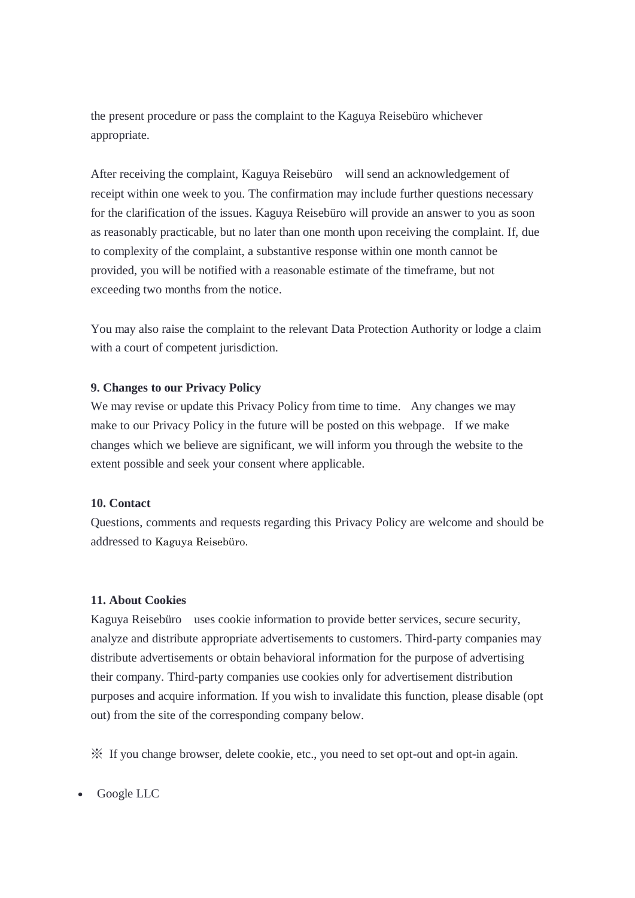the present procedure or pass the complaint to the Kaguya Reisebüro whichever appropriate.

After receiving the complaint, Kaguya Reisebüro will send an acknowledgement of receipt within one week to you. The confirmation may include further questions necessary for the clarification of the issues. Kaguya Reisebüro will provide an answer to you as soon as reasonably practicable, but no later than one month upon receiving the complaint. If, due to complexity of the complaint, a substantive response within one month cannot be provided, you will be notified with a reasonable estimate of the timeframe, but not exceeding two months from the notice.

You may also raise the complaint to the relevant Data Protection Authority or lodge a claim with a court of competent jurisdiction.

## **9. Changes to our Privacy Policy**

We may revise or update this Privacy Policy from time to time. Any changes we may make to our Privacy Policy in the future will be posted on this webpage. If we make changes which we believe are significant, we will inform you through the website to the extent possible and seek your consent where applicable.

#### **10. Contact**

Questions, comments and requests regarding this Privacy Policy are welcome and should be addressed to Kaguya Reisebüro.

#### **11. About Cookies**

Kaguya Reisebüro uses cookie information to provide better services, secure security, analyze and distribute appropriate advertisements to customers. Third-party companies may distribute advertisements or obtain behavioral information for the purpose of advertising their company. Third-party companies use cookies only for advertisement distribution purposes and acquire information. If you wish to invalidate this function, please disable (opt out) from the site of the corresponding company below.

※ If you change browser, delete cookie, etc., you need to set opt-out and opt-in again.

Google LLC